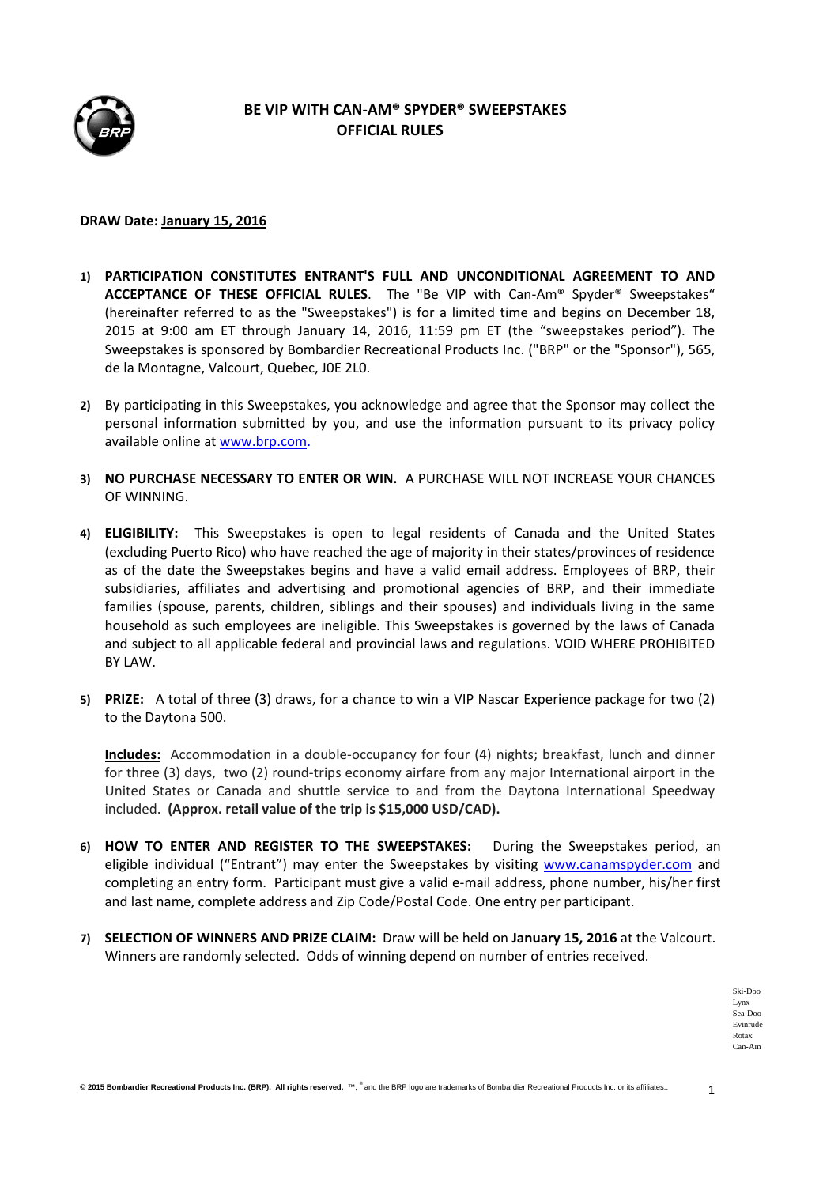

## **BE VIP WITH CAN‐AM® SPYDER® SWEEPSTAKES OFFICIAL RULES**

## **DRAW Date: January 15, 2016**

- **1) PARTICIPATION CONSTITUTES ENTRANT'S FULL AND UNCONDITIONAL AGREEMENT TO AND ACCEPTANCE OF THESE OFFICIAL RULES**. The "Be VIP with Can‐Am® Spyder® Sweepstakes" (hereinafter referred to as the "Sweepstakes") is for a limited time and begins on December 18, 2015 at 9:00 am ET through January 14, 2016, 11:59 pm ET (the "sweepstakes period"). The Sweepstakes is sponsored by Bombardier Recreational Products Inc. ("BRP" or the "Sponsor"), 565, de la Montagne, Valcourt, Quebec, J0E 2L0.
- **2)** By participating in this Sweepstakes, you acknowledge and agree that the Sponsor may collect the personal information submitted by you, and use the information pursuant to its privacy policy available online at www.brp.com.
- **3) NO PURCHASE NECESSARY TO ENTER OR WIN.** A PURCHASE WILL NOT INCREASE YOUR CHANCES OF WINNING.
- **4) ELIGIBILITY:**  This Sweepstakes is open to legal residents of Canada and the United States (excluding Puerto Rico) who have reached the age of majority in their states/provinces of residence as of the date the Sweepstakes begins and have a valid email address. Employees of BRP, their subsidiaries, affiliates and advertising and promotional agencies of BRP, and their immediate families (spouse, parents, children, siblings and their spouses) and individuals living in the same household as such employees are ineligible. This Sweepstakes is governed by the laws of Canada and subject to all applicable federal and provincial laws and regulations. VOID WHERE PROHIBITED BY LAW.
- **5) PRIZE:** A total of three (3) draws, for a chance to win a VIP Nascar Experience package for two (2) to the Daytona 500.

**Includes:** Accommodation in a double‐occupancy for four (4) nights; breakfast, lunch and dinner for three (3) days, two (2) round-trips economy airfare from any major International airport in the United States or Canada and shuttle service to and from the Daytona International Speedway included. **(Approx. retail value of the trip is \$15,000 USD/CAD).**

- **6) HOW TO ENTER AND REGISTER TO THE SWEEPSTAKES:**  During the Sweepstakes period, an eligible individual ("Entrant") may enter the Sweepstakes by visiting www.canamspyder.com and completing an entry form. Participant must give a valid e‐mail address, phone number, his/her first and last name, complete address and Zip Code/Postal Code. One entry per participant.
- **7) SELECTION OF WINNERS AND PRIZE CLAIM:** Draw will be held on **January 15, 2016** at the Valcourt. Winners are randomly selected. Odds of winning depend on number of entries received.

Ski-Doo Lynx Sea-Doo Evinrude Rotax Can-Am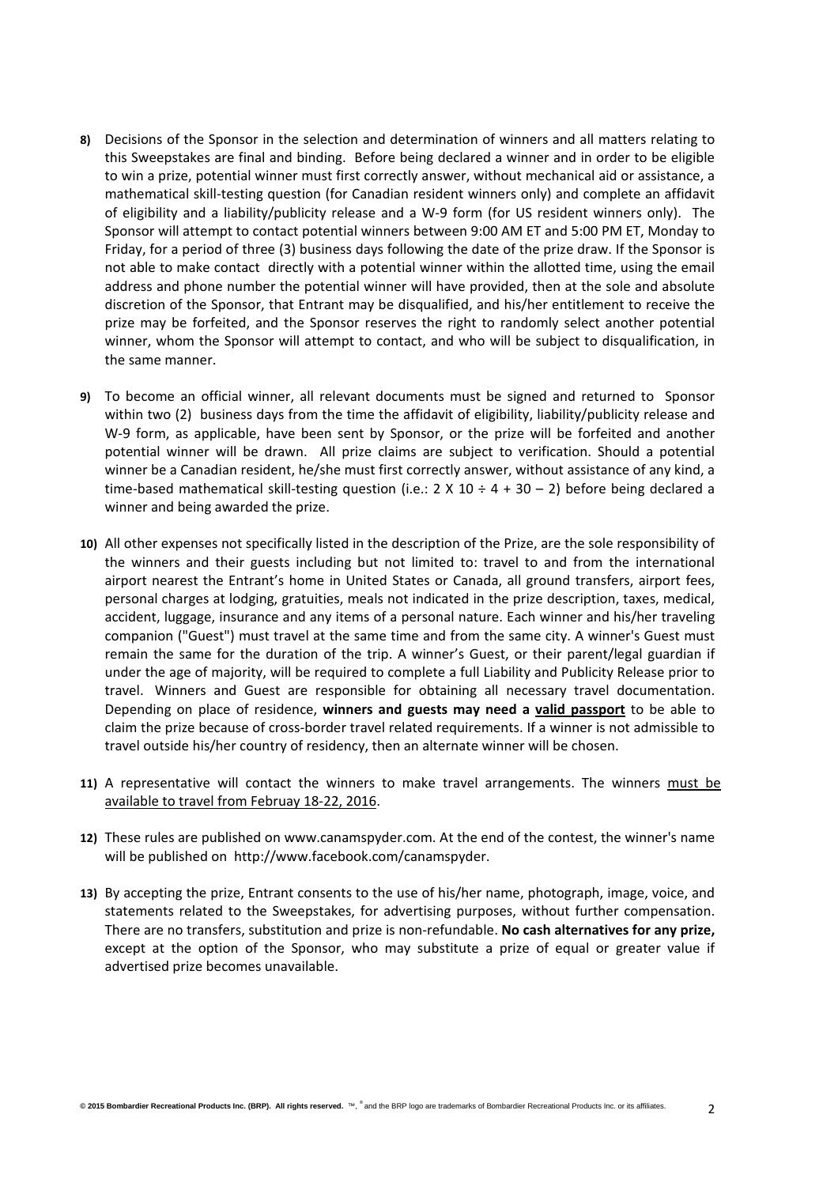- **8)** Decisions of the Sponsor in the selection and determination of winners and all matters relating to this Sweepstakes are final and binding. Before being declared a winner and in order to be eligible to win a prize, potential winner must first correctly answer, without mechanical aid or assistance, a mathematical skill‐testing question (for Canadian resident winners only) and complete an affidavit of eligibility and a liability/publicity release and a W‐9 form (for US resident winners only). The Sponsor will attempt to contact potential winners between 9:00 AM ET and 5:00 PM ET, Monday to Friday, for a period of three (3) business days following the date of the prize draw. If the Sponsor is not able to make contact directly with a potential winner within the allotted time, using the email address and phone number the potential winner will have provided, then at the sole and absolute discretion of the Sponsor, that Entrant may be disqualified, and his/her entitlement to receive the prize may be forfeited, and the Sponsor reserves the right to randomly select another potential winner, whom the Sponsor will attempt to contact, and who will be subject to disqualification, in the same manner.
- **9)** To become an official winner, all relevant documents must be signed and returned to Sponsor within two (2) business days from the time the affidavit of eligibility, liability/publicity release and W-9 form, as applicable, have been sent by Sponsor, or the prize will be forfeited and another potential winner will be drawn. All prize claims are subject to verification. Should a potential winner be a Canadian resident, he/she must first correctly answer, without assistance of any kind, a time-based mathematical skill-testing question (i.e.:  $2 \times 10 \div 4 + 30 - 2$ ) before being declared a winner and being awarded the prize.
- **10)** All other expenses not specifically listed in the description of the Prize, are the sole responsibility of the winners and their guests including but not limited to: travel to and from the international airport nearest the Entrant's home in United States or Canada, all ground transfers, airport fees, personal charges at lodging, gratuities, meals not indicated in the prize description, taxes, medical, accident, luggage, insurance and any items of a personal nature. Each winner and his/her traveling companion ("Guest") must travel at the same time and from the same city. A winner's Guest must remain the same for the duration of the trip. A winner's Guest, or their parent/legal guardian if under the age of majority, will be required to complete a full Liability and Publicity Release prior to travel. Winners and Guest are responsible for obtaining all necessary travel documentation. Depending on place of residence, **winners and guests may need a valid passport** to be able to claim the prize because of cross‐border travel related requirements. If a winner is not admissible to travel outside his/her country of residency, then an alternate winner will be chosen.
- **11)** A representative will contact the winners to make travel arrangements. The winners must be available to travel from Februay 18‐22, 2016.
- **12)** These rules are published on www.canamspyder.com. At the end of the contest, the winner's name will be published on http://www.facebook.com/canamspyder.
- **13)** By accepting the prize, Entrant consents to the use of his/her name, photograph, image, voice, and statements related to the Sweepstakes, for advertising purposes, without further compensation. There are no transfers, substitution and prize is non‐refundable. **No cash alternatives for any prize,** except at the option of the Sponsor, who may substitute a prize of equal or greater value if advertised prize becomes unavailable.

 $\overline{2}$